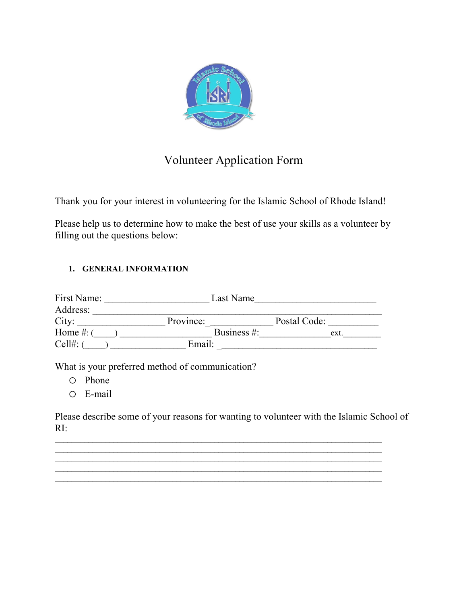

# Volunteer Application Form

Thank you for your interest in volunteering for the Islamic School of Rhode Island!

Please help us to determine how to make the best of use your skills as a volunteer by filling out the questions below:

## **1. GENERAL INFORMATION**

| First Name:    | Last Name      |              |
|----------------|----------------|--------------|
| Address:       |                |              |
| City:          | Province:      | Postal Code: |
| Home $#$ : $($ | Business $#$ : | ext.         |
| Cell#:         | Email:         |              |
|                |                |              |

What is your preferred method of communication?

- o Phone
- o E-mail

Please describe some of your reasons for wanting to volunteer with the Islamic School of RI:

 $\_$  , and the set of the set of the set of the set of the set of the set of the set of the set of the set of the set of the set of the set of the set of the set of the set of the set of the set of the set of the set of th  $\_$  , and the set of the set of the set of the set of the set of the set of the set of the set of the set of the set of the set of the set of the set of the set of the set of the set of the set of the set of the set of th

\_\_\_\_\_\_\_\_\_\_\_\_\_\_\_\_\_\_\_\_\_\_\_\_\_\_\_\_\_\_\_\_\_\_\_\_\_\_\_\_\_\_\_\_\_\_\_\_\_\_\_\_\_\_\_\_\_\_\_\_\_\_\_\_\_\_\_\_\_\_\_\_\_\_\_\_\_\_ \_\_\_\_\_\_\_\_\_\_\_\_\_\_\_\_\_\_\_\_\_\_\_\_\_\_\_\_\_\_\_\_\_\_\_\_\_\_\_\_\_\_\_\_\_\_\_\_\_\_\_\_\_\_\_\_\_\_\_\_\_\_\_\_\_\_\_\_\_\_\_\_\_\_\_\_\_\_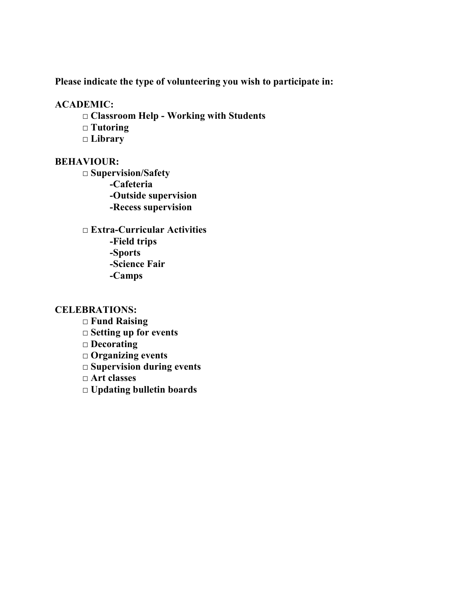**Please indicate the type of volunteering you wish to participate in:** 

### **ACADEMIC:**

- **□ Classroom Help Working with Students**
- **□ Tutoring**
- **□ Library**

## **BEHAVIOUR:**

**□ Supervision/Safety -Cafeteria -Outside supervision -Recess supervision** 

**□ Extra-Curricular Activities -Field trips -Sports -Science Fair -Camps** 

### **CELEBRATIONS:**

- **□ Fund Raising**
- **□ Setting up for events**
- **□ Decorating**
- **□ Organizing events**
- **□ Supervision during events**
- **□ Art classes**
- **□ Updating bulletin boards**